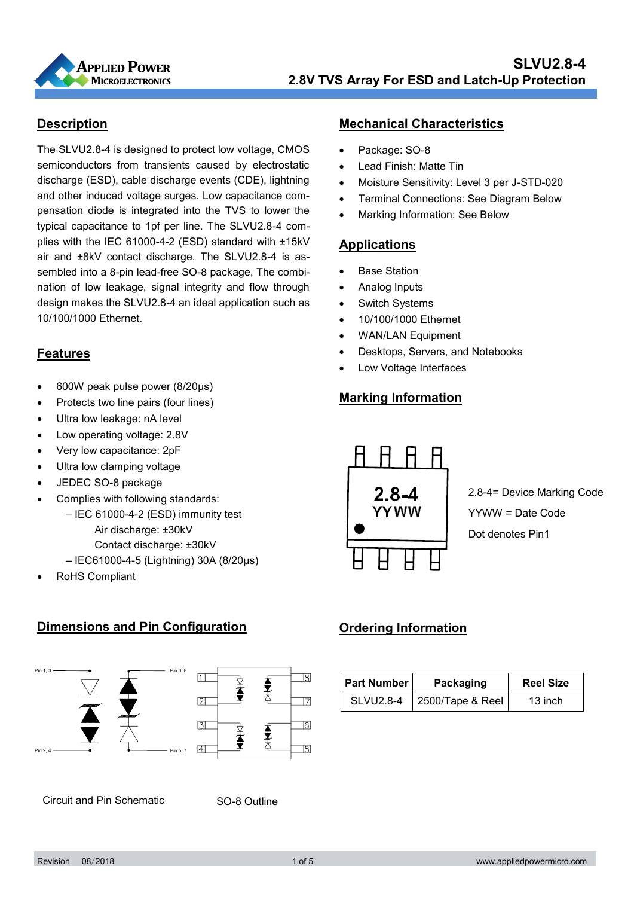

#### **Description**

The SLVU2.8-4 is designed to protect low voltage, CMOS semiconductors from transients caused by electrostatic discharge (ESD), cable discharge events (CDE), lightning and other induced voltage surges. Low capacitance compensation diode is integrated into the TVS to lower the typical capacitance to 1pf per line. The SLVU2.8-4 complies with the IEC 61000-4-2 (ESD) standard with ±15kV air and ±8kV contact discharge. The SLVU2.8-4 is assembled into a 8-pin lead-free SO-8 package, The combination of low leakage, signal integrity and flow through design makes the SLVU2.8-4 an ideal application such as 10/100/1000 Ethernet.

## **Features**

- 600W peak pulse power (8/20μs)
- Protects two line pairs (four lines)
- Ultra low leakage: nA level
- Low operating voltage: 2.8V
- Very low capacitance: 2pF
- Ultra low clamping voltage
- JEDEC SO-8 package
- Complies with following standards:
	- IEC 61000-4-2 (ESD) immunity test Air discharge: ±30kV Contact discharge: ±30kV – IEC61000-4-5 (Lightning) 30A (8/20μs)
- RoHS Compliant

#### **Dimensions and Pin Configuration**



Circuit and Pin Schematic

SO-8 Outline

#### **Mechanical Characteristics**

- Package: SO-8
- Lead Finish: Matte Tin
- Moisture Sensitivity: Level 3 per J-STD-020
- Terminal Connections: See Diagram Below
- Marking Information: See Below

#### **Applications**

- Base Station
- Analog Inputs
- Switch Systems
- 10/100/1000 Ethernet
- WAN/LAN Equipment
- Desktops, Servers, and Notebooks
- Low Voltage Interfaces

### **Marking Information**



 $\text{YYWW} = \text{Date Code}$ Dot denotes Pin1 2.8-4= Device Marking Code Dot denotes Pin1

## **Ordering Information**

| <b>Part Number</b> | Packaging        | <b>Reel Size</b> |
|--------------------|------------------|------------------|
| <b>SLVU2.8-4</b>   | 2500/Tape & Reel | 13 inch          |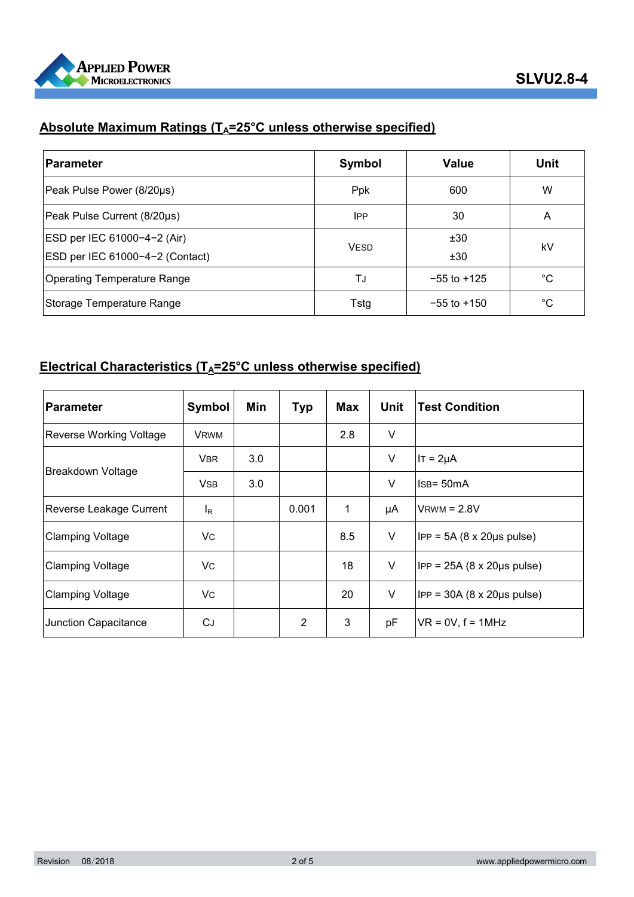

# **Absolute Maximum Ratings (T<sub>A</sub>=25°C unless otherwise specified)**

| <b>Parameter</b>                   | Symbol      | <b>Value</b>    | Unit         |
|------------------------------------|-------------|-----------------|--------------|
| Peak Pulse Power (8/20µs)          | <b>Ppk</b>  | 600             | W            |
| Peak Pulse Current (8/20µs)        | <b>IPP</b>  | 30              | A            |
| ESD per IEC 61000-4-2 (Air)        |             | ±30             | kV           |
| ESD per IEC 61000-4-2 (Contact)    | <b>VESD</b> | ±30             |              |
| <b>Operating Temperature Range</b> | TJ          | $-55$ to $+125$ | $^{\circ}$ C |
| Storage Temperature Range          | Tstg        | $-55$ to $+150$ | °C           |

## **Electrical Characteristics (T<sub>A</sub>=25°C unless otherwise specified)**

| <b>Parameter</b>               | Symbol      | Min | <b>Typ</b> | Max | Unit   | <b>Test Condition</b>                         |
|--------------------------------|-------------|-----|------------|-----|--------|-----------------------------------------------|
| <b>Reverse Working Voltage</b> | <b>VRWM</b> |     |            | 2.8 | $\vee$ |                                               |
|                                | <b>VBR</b>  | 3.0 |            |     | $\vee$ | $IT = 2\mu A$                                 |
| Breakdown Voltage              | <b>VSB</b>  | 3.0 |            |     | V      | $IsB = 50mA$                                  |
| Reverse Leakage Current        | $I_R$       |     | 0.001      | 1   | μA     | $V$ RWM = 2.8V                                |
| <b>Clamping Voltage</b>        | Vc          |     |            | 8.5 | V      | $IPP = 5A (8 \times 20 \mu s \text{ pulse})$  |
| <b>Clamping Voltage</b>        | Vc          |     |            | 18  | V      | $IPP = 25A (8 \times 20 \mu s \text{ pulse})$ |
| <b>Clamping Voltage</b>        | <b>VC</b>   |     |            | 20  | V      | $IPP = 30A (8 \times 20 \mu s \text{ pulse})$ |
| Junction Capacitance           | CJ          |     | 2          | 3   | pF     | $VR = 0V$ , $f = 1MHz$                        |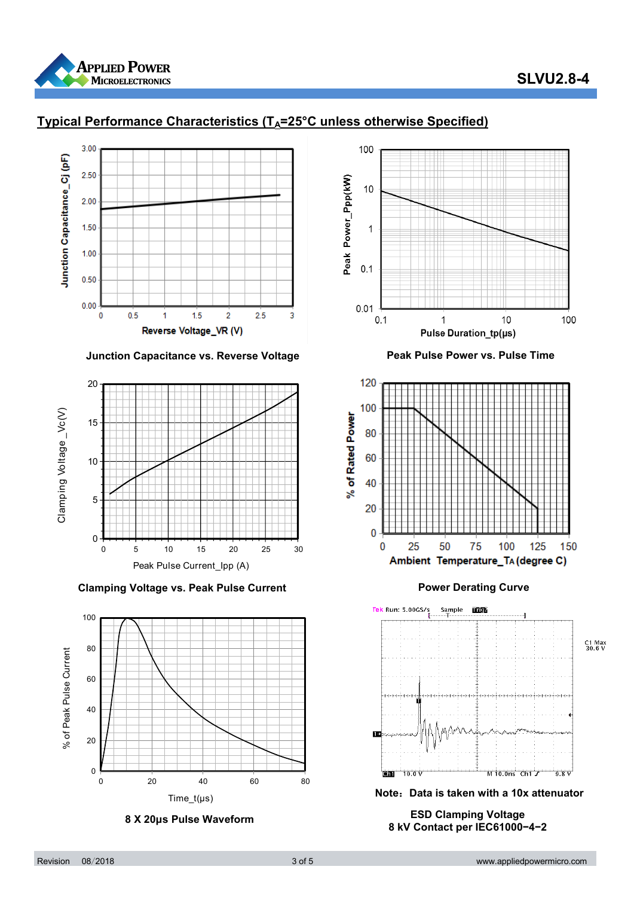

# **SLVU2.8-4**



# **Typical Performance Characteristics (TA=25°C unless otherwise Specified)**



**Clamping Voltage vs. Peak Pulse Current Clamping Voltage vs. Peak Pulse Current Curve** 







 **8 X 20μs Pulse Waveform ESD Clamping Voltage 8 kV Contact per IEC61000−4−2**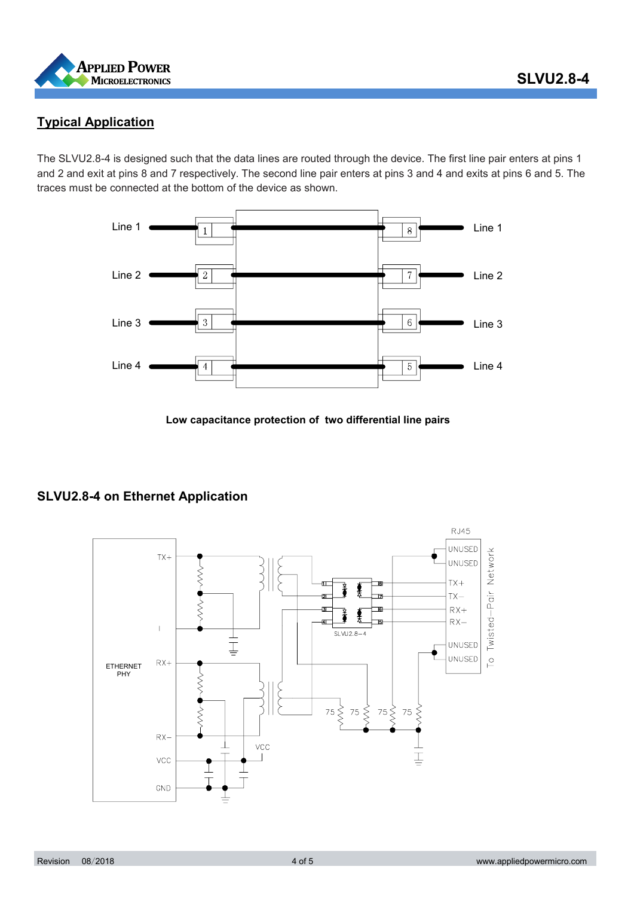

### **Typical Application**

The SLVU2.8-4 is designed such that the data lines are routed through the device. The first line pair enters at pins 1 and 2 and exit at pins 8 and 7 respectively. The second line pair enters at pins 3 and 4 and exits at pins 6 and 5. The traces must be connected at the bottom of the device as shown.



**Low capacitance protection of two differential line pairs**



#### **SLVU2.8-4 on Ethernet Application**